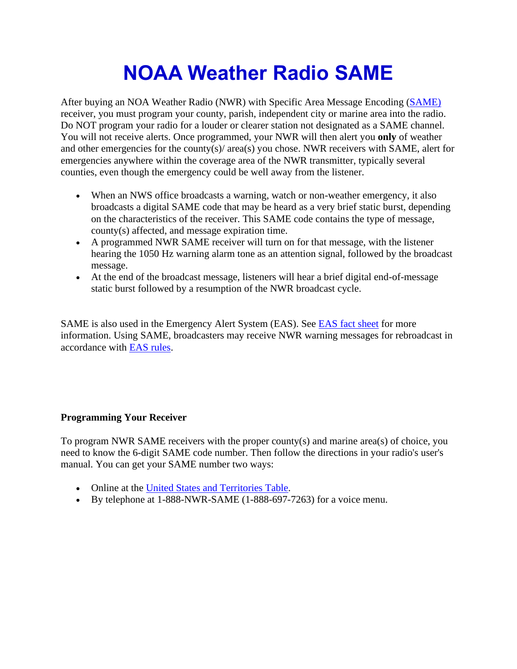## **NOAA Weather Radio SAME**

After buying an NOA Weather Radio (NWR) with Specific Area Message Encoding [\(SAME\)](https://www.nws.noaa.gov/nwr/info/nwrsame.html) receiver, you must program your county, parish, independent city or marine area into the radio. Do NOT program your radio for a louder or clearer station not designated as a SAME channel. You will not receive alerts. Once programmed, your NWR will then alert you **only** of weather and other emergencies for the county(s)/ area(s) you chose. NWR receivers with SAME, alert for emergencies anywhere within the coverage area of the NWR transmitter, typically several counties, even though the emergency could be well away from the listener.

- When an NWS office broadcasts a warning, watch or non-weather emergency, it also broadcasts a digital SAME code that may be heard as a very brief static burst, depending on the characteristics of the receiver. This SAME code contains the type of message, county(s) affected, and message expiration time.
- A programmed NWR SAME receiver will turn on for that message, with the listener hearing the 1050 Hz warning alarm tone as an attention signal, followed by the broadcast message.
- At the end of the broadcast message, listeners will hear a brief digital end-of-message static burst followed by a resumption of the NWR broadcast cycle.

SAME is also used in the Emergency Alert System (EAS). See **EAS** fact sheet for more information. Using SAME, broadcasters may receive NWR warning messages for rebroadcast in accordance with [EAS rules.](http://transition.fcc.gov/eb/broadcast/eas.html)

## **Programming Your Receiver**

To program NWR SAME receivers with the proper county(s) and marine area(s) of choice, you need to know the 6-digit SAME code number. Then follow the directions in your radio's user's manual. You can get your SAME number two ways:

- Online at the [United States and Territories Table.](https://www.nws.noaa.gov/nwr/coverage/county_coverage.html)
- By telephone at 1-888-NWR-SAME (1-888-697-7263) for a voice menu.